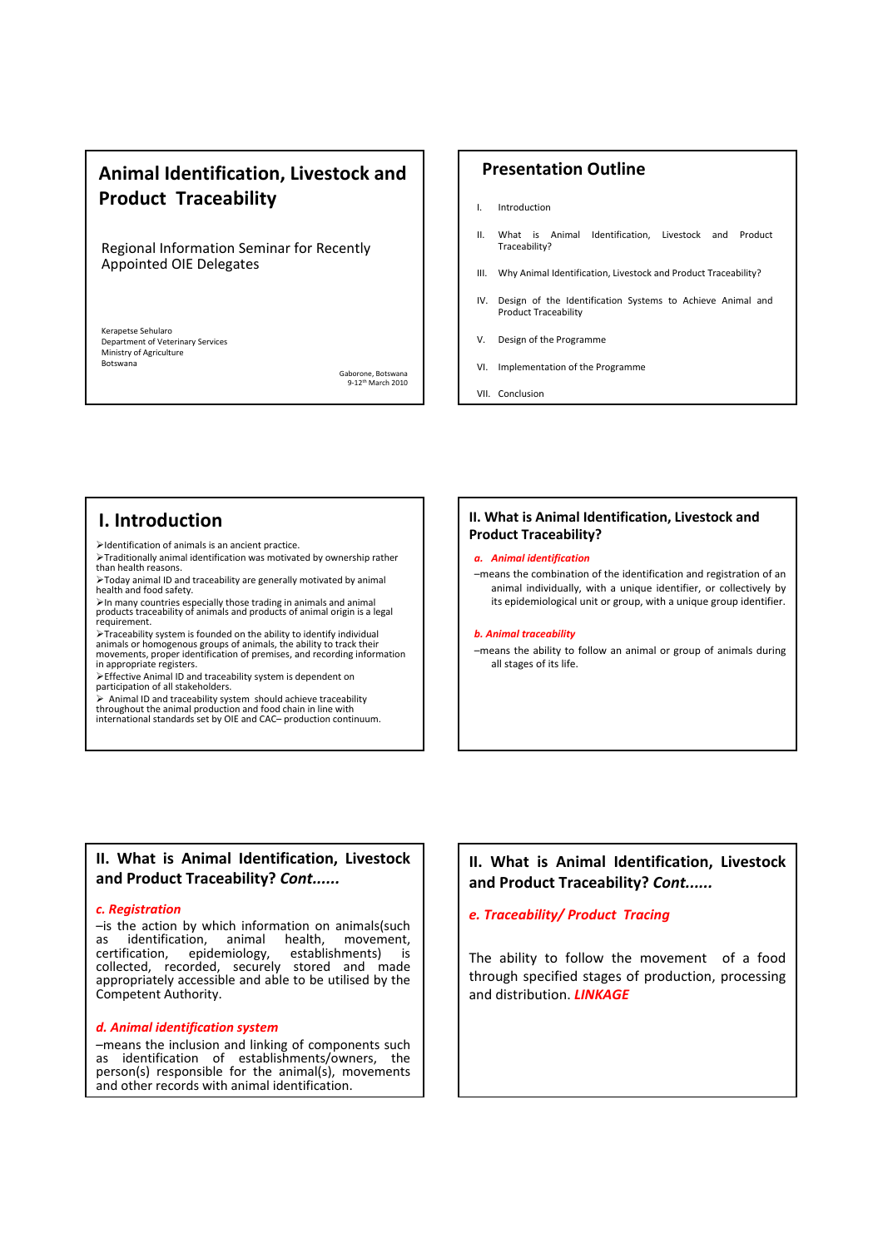## **Animal Identification, Livestock and Product Traceability**

Regional Information Seminar for Recently Appointed OIE Delegates

Kerapetse Sehularo Department of Veterinary Services Ministry of Agriculture Botswana

Gaborone, Botswana 9‐12th March 2010

## **Presentation Outline**

- I. Introduction
- II. What is Animal Identification, Livestock and Product Traceability?
- III. Why Animal Identification, Livestock and Product Traceability?
- IV. Design of the Identification Systems to Achieve Animal and Product Traceability
- V. Design of the Programme
- VI. Implementation of the Programme

VII. Conclusion

## **I. Introduction**

¾Identification of animals is an ancient practice.

¾Traditionally animal identification was motivated by ownership rather than health reasons.

¾Today animal ID and traceability are generally motivated by animal health and food safety.

¾In many countries especially those trading in animals and animal products traceability of animals and products of animal origin is a legal requirement.

≻Traceability system is founded on the ability to identify individual<br>animals or homogenous groups of animals, the ability to track their<br>movements, proper identification of premises, and recording information in appropriate registers.

<sup>¾</sup>Effective Animal ID and traceability system is dependent on participation of all stakeholders.

 $\triangleright$  Animal ID and traceability system should achieve traceability throughout the animal production and food chain in line with international standards set by OIE and CAC– production continuum.

## **II. What is Animal Identification, Livestock and Product Traceability?**

#### *a. Animal identification*

–means the combination of the identification and registration of an animal individually, with a unique identifier, or collectively by its epidemiological unit or group, with a unique group identifier.

#### *b. Animal traceability*

–means the ability to follow an animal or group of animals during all stages of its life.

## **II. What is Animal Identification, Livestock and Product Traceability?** *Cont......*

#### *c. Registration*

–is the action by which information on animals(such as identification, animal health, movement, certification, epidemiology, establishments) is collected, recorded, securely stored and made appropriately accessible and able to be utilised by the Competent Authority.

## *d. Animal identification system*

–means the inclusion and linking of components such as identification of establishments/owners, the person(s) responsible for the animal(s), movements and other records with animal identification.

## **II. What is Animal Identification, Livestock and Product Traceability?** *Cont......*

## *e. Traceability/ Product Tracing*

The ability to follow the movement of a food through specified stages of production, processing and distribution. *LINKAGE*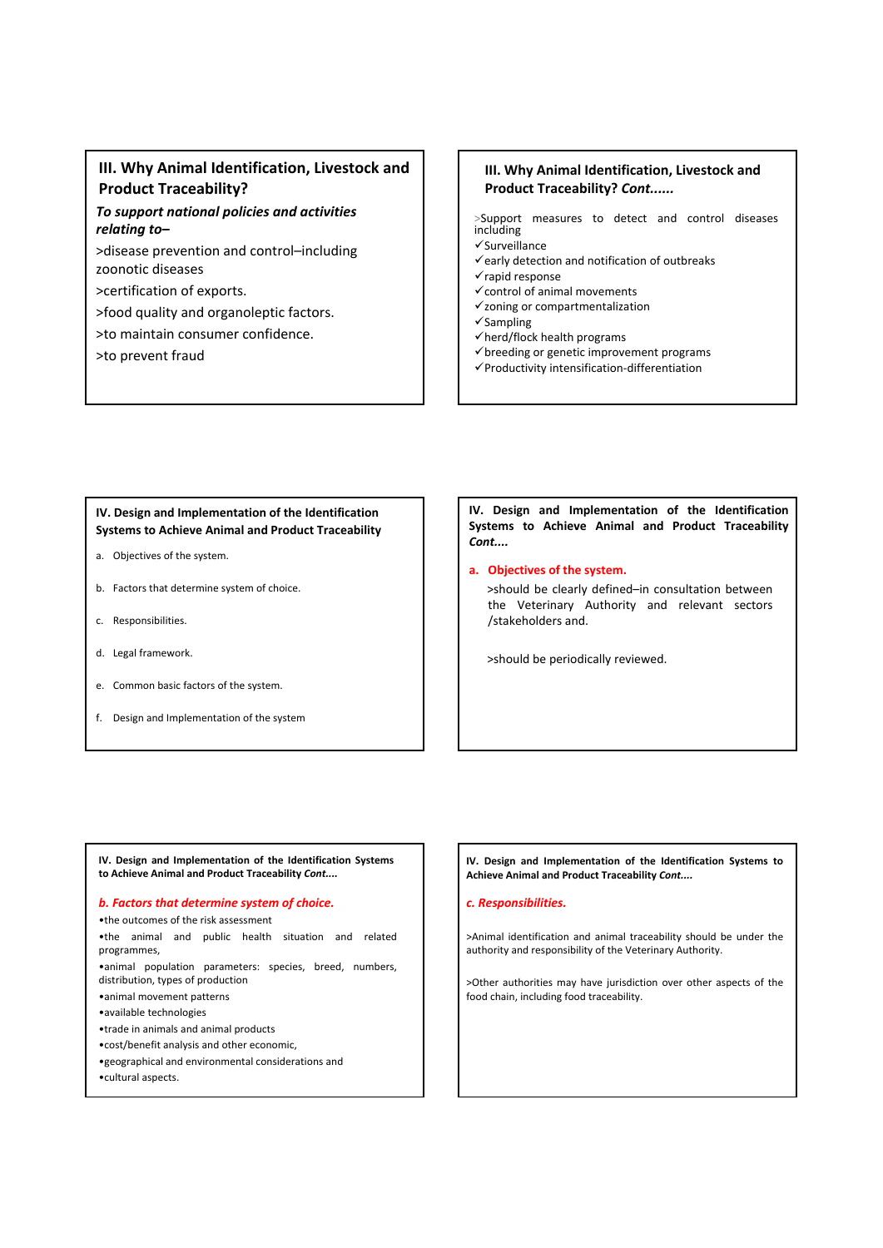## **III. Why Animal Identification, Livestock and Product Traceability?**

## *To support national policies and activities relating to–*

>disease prevention and control–including zoonotic diseases

>certification of exports.

>food quality and organoleptic factors.

>to maintain consumer confidence.

>to prevent fraud

## **III. Why Animal Identification, Livestock and Product Traceability?** *Cont......*

>Support measures to detect and control diseases including

 $\checkmark$ Surveillance

- $\checkmark$ early detection and notification of outbreaks
- $\checkmark$  rapid response
- $\checkmark$  control of animal movements  $\checkmark$ zoning or compartmentalization
- $\checkmark$ Sampling
- $\checkmark$  herd/flock health programs
- $\checkmark$  breeding or genetic improvement programs
- 9Productivity intensification‐differentiation

## **IV. Design and Implementation of the Identification Systems to Achieve Animal and Product Traceability**

- a. Objectives of the system.
- b. Factors that determine system of choice.
- c. Responsibilities.
- d. Legal framework.
- e. Common basic factors of the system.
- f. Design and Implementation of the system

## **IV. Design and Implementation of the Identification Systems to Achieve Animal and Product Traceability** *Cont....*

#### **a. Objectives of the system.**

>should be clearly defined–in consultation between the Veterinary Authority and relevant sectors /stakeholders and.

>should be periodically reviewed.

**IV. Design and Implementation of the Identification Systems to Achieve Animal and Product Traceability** *Cont....*

#### *b. Factors that determine system of choice.*

•the outcomes of the risk assessment •the animal and public health situation and related programmes, •animal population parameters: species, breed, numbers, distribution, types of production •animal movement patterns •available technologies •trade in animals and animal products •cost/benefit analysis and other economic, •geographical and environmental considerations and •cultural aspects.

#### **IV. Design and Implementation of the Identification Systems to Achieve Animal and Product Traceability** *Cont....*

#### *c. Responsibilities.*

>Animal identification and animal traceability should be under the authority and responsibility of the Veterinary Authority.

>Other authorities may have jurisdiction over other aspects of the food chain, including food traceability.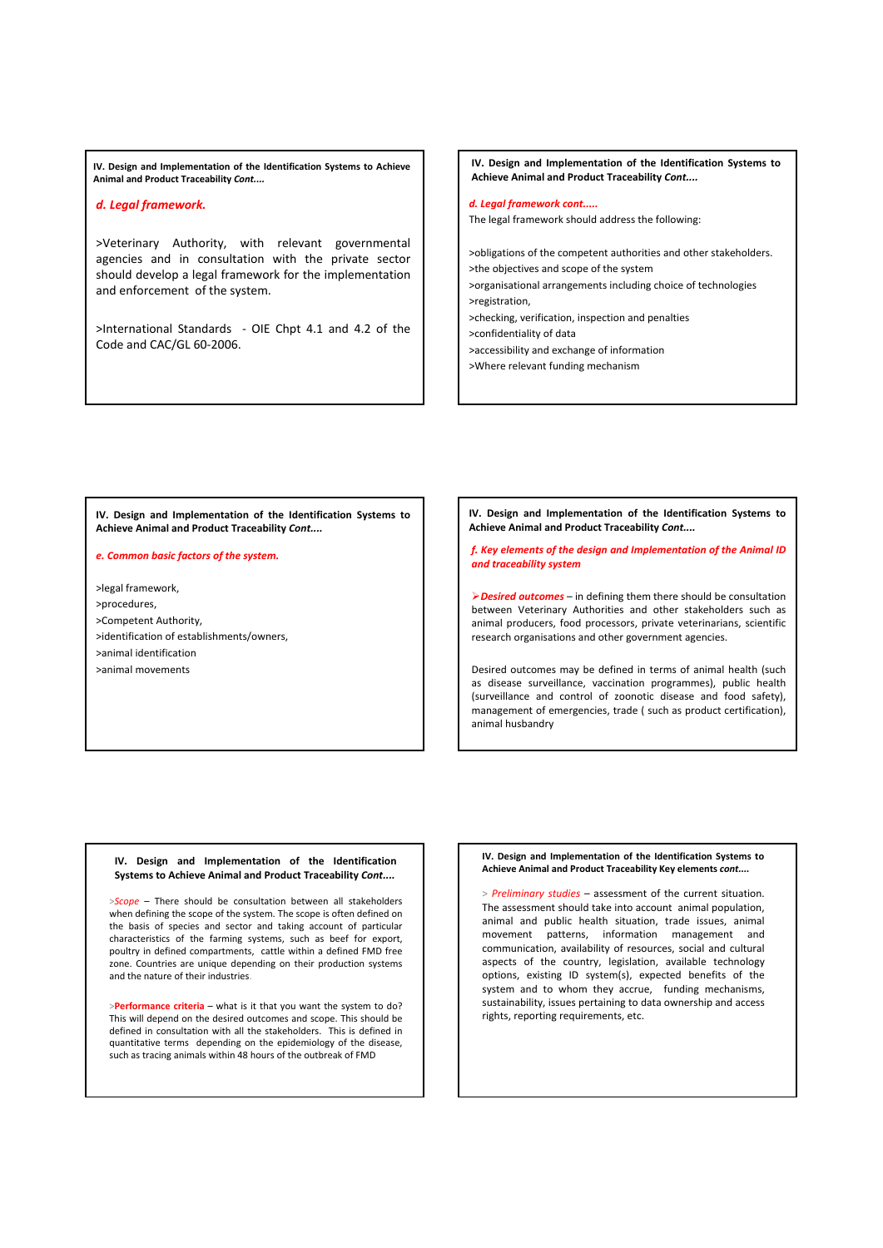**IV. Design and Implementation of the Identification Systems to Achieve Animal and Product Traceability** *Cont....*

## *d. Legal framework.*

>Veterinary Authority, with relevant governmental agencies and in consultation with the private sector should develop a legal framework for the implementation and enforcement of the system.

>International Standards ‐ OIE Chpt 4.1 and 4.2 of the Code and CAC/GL 60‐2006.

**IV. Design and Implementation of the Identification Systems to Achieve Animal and Product Traceability** *Cont....*

## *d. Legal framework cont.....*

The legal framework should address the following:

>obligations of the competent authorities and other stakeholders. >the objectives and scope of the system >organisational arrangements including choice of technologies >registration, >checking, verification, inspection and penalties >confidentiality of data

>accessibility and exchange of information

>Where relevant funding mechanism

**IV. Design and Implementation of the Identification Systems to Achieve Animal and Product Traceability** *Cont....*

#### *e. Common basic factors of the system.*

>legal framework, >procedures, >Competent Authority, >identification of establishments/owners, >animal identification >animal movements

**IV. Design and Implementation of the Identification Systems to Achieve Animal and Product Traceability** *Cont....*

*f. Key elements of the design and Implementation of the Animal ID and traceability system*

¾*Desired outcomes* – in defining them there should be consultation between Veterinary Authorities and other stakeholders such as animal producers, food processors, private veterinarians, scientific research organisations and other government agencies.

Desired outcomes may be defined in terms of animal health (such as disease surveillance, vaccination programmes), public health (surveillance and control of zoonotic disease and food safety), management of emergencies, trade ( such as product certification), animal husbandry

#### **IV. Design and Implementation of the Identification Systems to Achieve Animal and Product Traceability** *Cont....*

>*Scope* – There should be consultation between all stakeholders when defining the scope of the system. The scope is often defined on the basis of species and sector and taking account of particular characteristics of the farming systems, such as beef for export, poultry in defined compartments, cattle within a defined FMD free zone. Countries are unique depending on their production systems and the nature of their industries.

>**Performance criteria** – what is it that you want the system to do? This will depend on the desired outcomes and scope. This should be defined in consultation with all the stakeholders. This is defined in quantitative terms depending on the epidemiology of the disease, such as tracing animals within 48 hours of the outbreak of FMD

#### **IV. Design and Implementation of the Identification Systems to Achieve Animal and Product Traceability Key elements** *cont....*

> *Preliminary studies* – assessment of the current situation. The assessment should take into account animal population, animal and public health situation, trade issues, animal movement patterns, information management and communication, availability of resources, social and cultural aspects of the country, legislation, available technology options, existing ID system(s), expected benefits of the system and to whom they accrue, funding mechanisms, sustainability, issues pertaining to data ownership and access rights, reporting requirements, etc.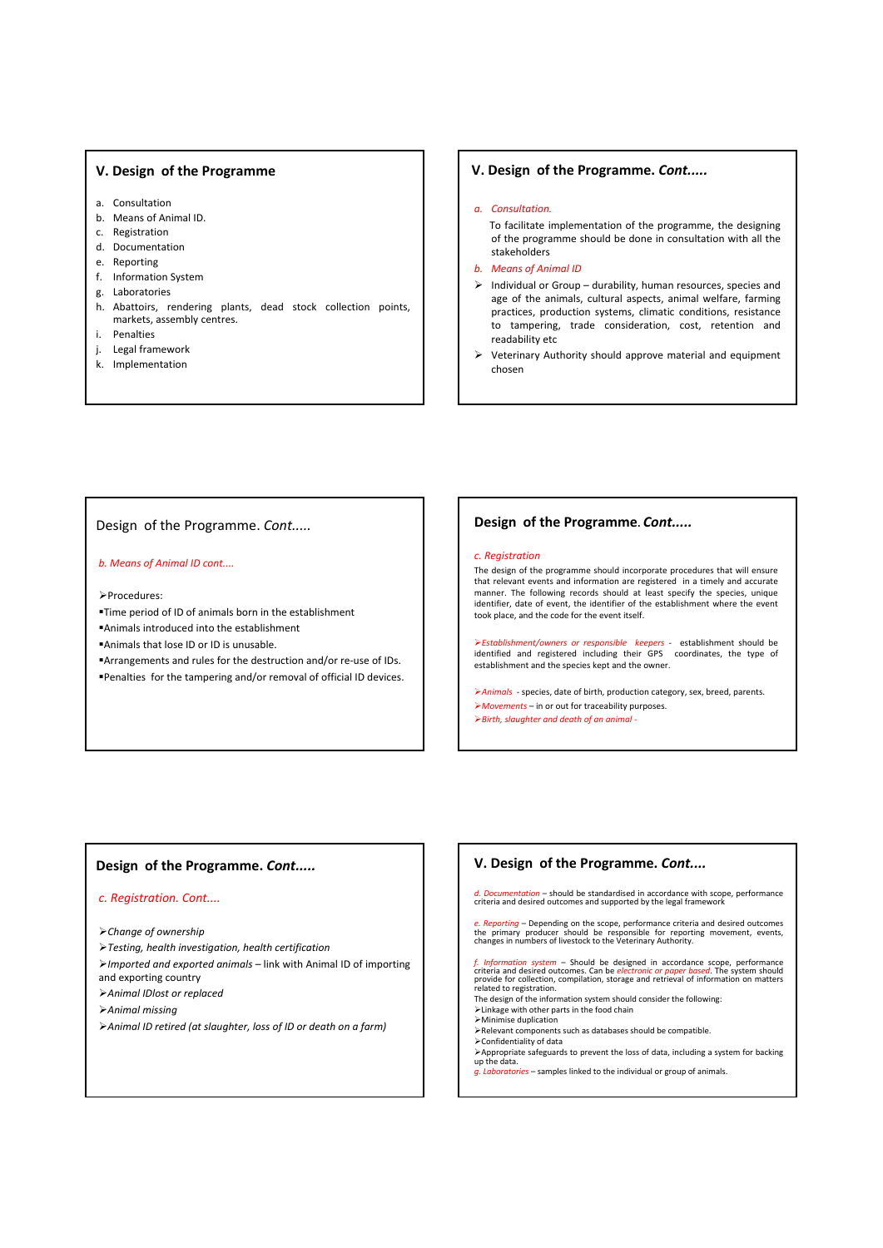## **V. Design of the Programme**

- a. Consultation
- b. Means of Animal ID.
- c. Registration
- d. Documentation
- e. Reporting
- f. Information System
- g. Laboratories
- h. Abattoirs, rendering plants, dead stock collection points, markets, assembly centres.
- i. Penalties
- j. Legal framework
- k. Implementation

## **V. Design of the Programme.** *Cont.....*

#### *a. Consultation.*

To facilitate implementation of the programme, the designing of the programme should be done in consultation with all the stakeholders

- *b. Means of Animal ID*
- $\triangleright$  Individual or Group durability, human resources, species and age of the animals, cultural aspects, animal welfare, farming practices, production systems, climatic conditions, resistance to tampering, trade consideration, cost, retention and readability etc
- ¾ Veterinary Authority should approve material and equipment chosen

## Design of the Programme. *Cont.....*

#### *b. Means of Animal ID cont....*

¾Procedures:

- Time period of ID of animals born in the establishment
- Animals introduced into the establishment

Animals that lose ID or ID is unusable.

■Arrangements and rules for the destruction and/or re-use of IDs. Penalties for the tampering and/or removal of official ID devices.

#### **Design of the Programme.** *Cont.....*

#### *c. Registration*

The design of the programme should incorporate procedures that will ensure that relevant events and information are registered in a timely and accurate manner. The following records should at least specify the species, unique identifier, date of event, the identifier of the establishment where the event took place, and the code for the event itself.

¾*Establishment/owners or responsible keepers* ‐ establishment should be identified and registered including their GPS coordinates, the type of establishment and the species kept and the owner.

¾*Animals* ‐ species, date of birth, production category, sex, breed, parents. ¾*Movements* – in or out for traceability purposes. ¾*Birth, slaughter and death of an animal ‐*

## **Design of the Programme.** *Cont.....*

### *c. Registration. Cont....*

¾*Change of ownership*

- ¾*Testing, health investigation, health certification*
- ¾*Imported and exported animals* link with Animal ID of importing and exporting country
- ¾*Animal IDlost or replaced*
- ¾*Animal missing*
- ¾*Animal ID retired (at slaughter, loss of ID or death on a farm)*

**V. Design of the Programme.** *Cont....*

*d. Documentation* – should be standardised in accordance with scope, performance criteria and desired outcomes and supported by the legal framework

e. Reporting - Depending on the scope, performance criteria and desired outcomes<br>the primary producer should be responsible for reporting movement, events,<br>changes in numbers of livestock to the Veterinary Authority.

 $f.$  Information system – Should be designed in accordance scope, performance criteria and desired outcomes. Can be *electronic or paper based*. The system should provide for collection, compilation, storage and retrieval

- The design of the information system should consider the following: ¾Linkage with other parts in the food chain
- ¾Minimise duplication
- ¾Relevant components such as databases should be compatible.
- ¾Confidentiality of data
- <sup>¾</sup>Appropriate safeguards to prevent the loss of data, including <sup>a</sup> system for backing up the data.
- *g. Laboratories* samples linked to the individual or group of animals.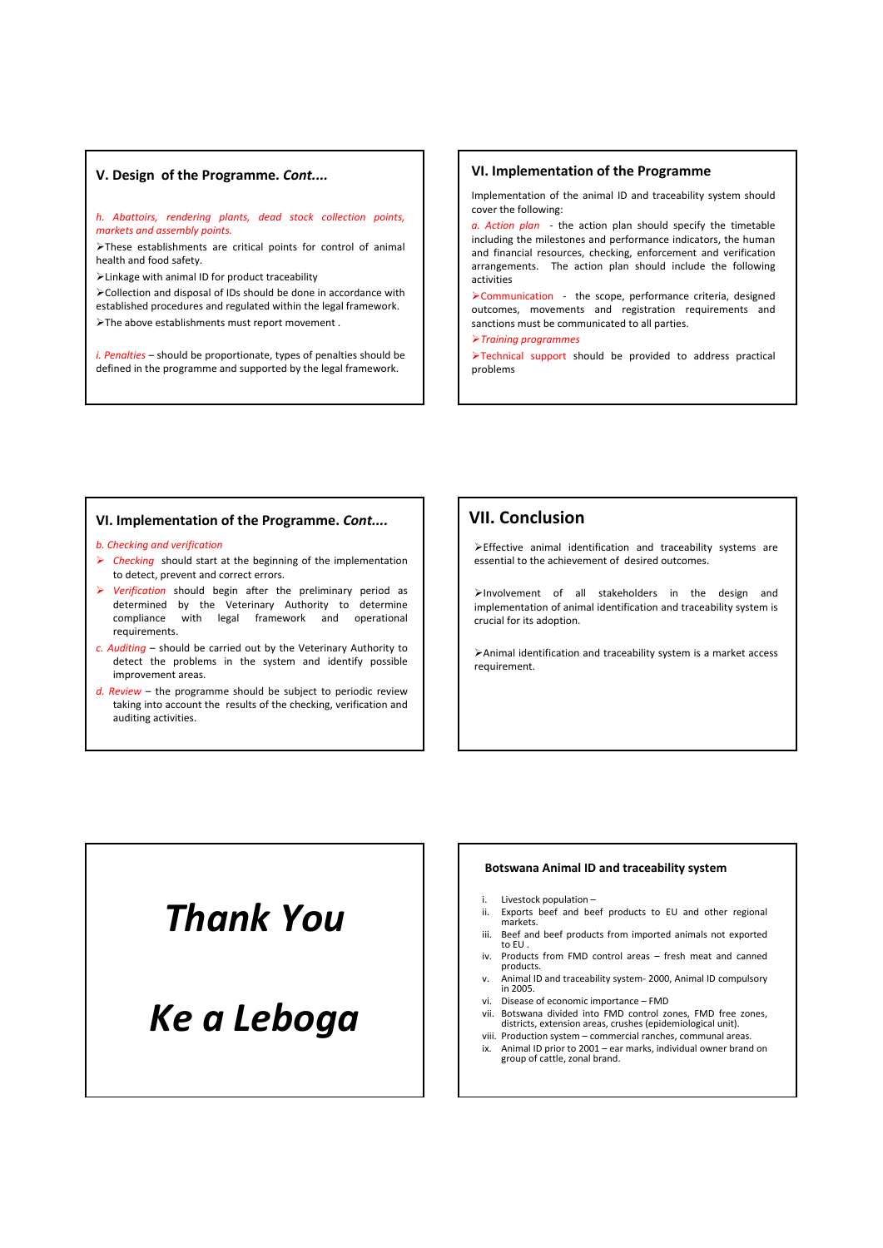## **V. Design of the Programme.** *Cont....*

#### *h. Abattoirs, rendering plants, dead stock collection points, markets and assembly points.*

¾These establishments are critical points for control of animal health and food safety.

¾Linkage with animal ID for product traceability

¾Collection and disposal of IDs should be done in accordance with established procedures and regulated within the legal framework.

¾The above establishments must report movement .

*i. Penalties* – should be proportionate, types of penalties should be defined in the programme and supported by the legal framework.

## **VI. Implementation of the Programme**

Implementation of the animal ID and traceability system should cover the following:

*a. Action plan*  ‐ the action plan should specify the timetable including the milestones and performance indicators, the human and financial resources, checking, enforcement and verification arrangements. The action plan should include the following activities

¾Communication ‐ the scope, performance criteria, designed outcomes, movements and registration requirements and sanctions must be communicated to all parties.

¾*Training programmes*

¾Technical support should be provided to address practical problems

#### **VI. Implementation of the Programme.** *Cont....*

#### *b. Checking and verification*

- ¾ *Checking* should start at the beginning of the implementation to detect, prevent and correct errors.
- ¾ *Verification* should begin after the preliminary period as determined by the Veterinary Authority to determine compliance with legal framework and operational requirements.
- *c. Auditing* should be carried out by the Veterinary Authority to detect the problems in the system and identify possible improvement areas.
- *d. Review* the programme should be subject to periodic review taking into account the results of the checking, verification and auditing activities.

## **VII. Conclusion**

¾Effective animal identification and traceability systems are essential to the achievement of desired outcomes.

¾Involvement of all stakeholders in the design and implementation of animal identification and traceability system is crucial for its adoption.

¾Animal identification and traceability system is a market access requirement.

# *Thank You*

# *Ke a Leboga*

#### **Botswana Animal ID and traceability system**

- i. Livestock population –
- ii. Exports beef and beef products to EU and other regional markets.
- iii. Beef and beef products from imported animals not exported to EU . iv. Products from FMD control areas – fresh meat and canned
- products.
- v. Animal ID and traceability system‐ 2000, Animal ID compulsory in 2005.
- vi. Disease of economic importance FMD
- vii. Botswana divided into FMD control zones, FMD free zones, districts, extension areas, crushes (epidemiological unit). viii. Production system – commercial ranches, communal areas.
- ix. Animal ID prior to <sup>2001</sup> ear marks, individual owner brand on group of cattle, zonal brand.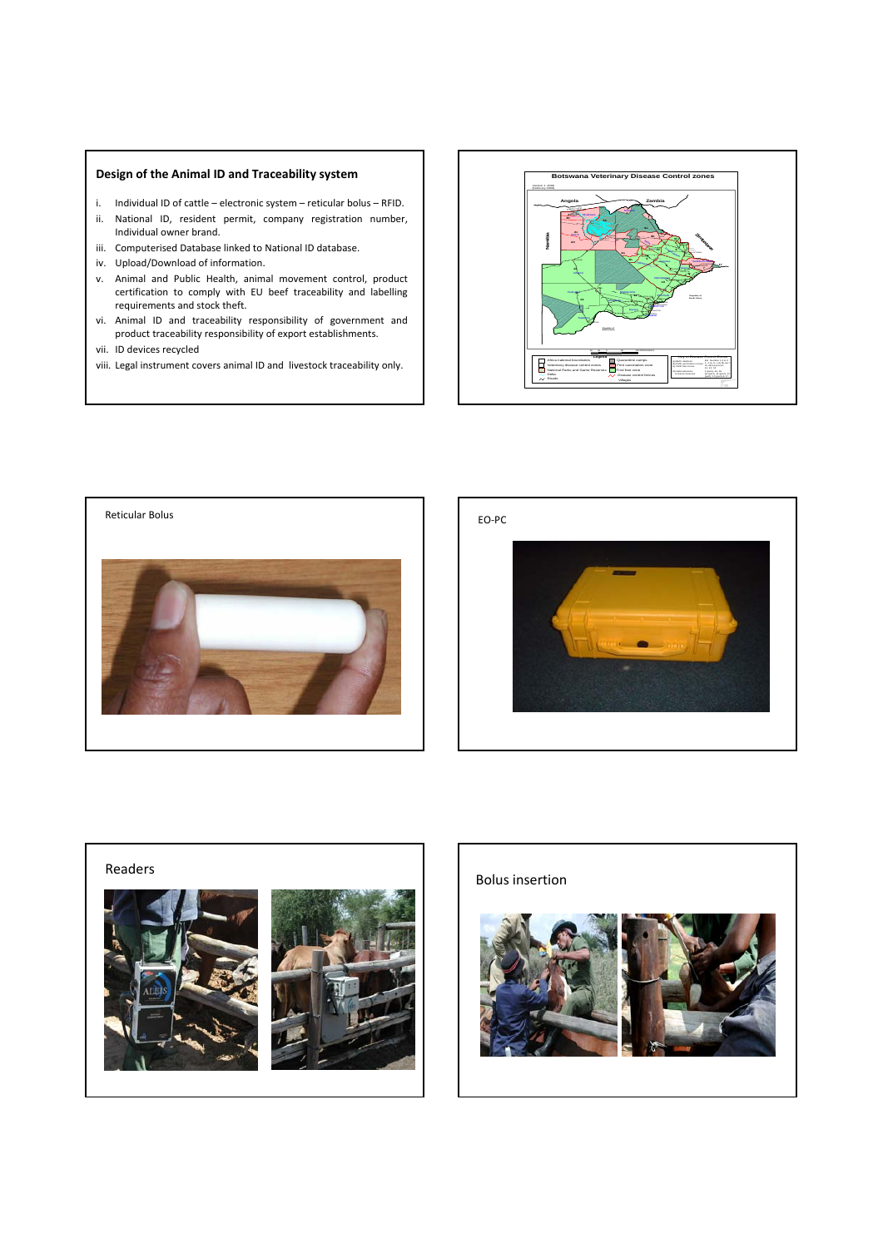## **Design of the Animal ID and Traceability system**

- i. Individual ID of cattle electronic system reticular bolus RFID. ii. National ID, resident permit, company registration number,
- Individual owner brand. iii. Computerised Database linked to National ID database.
- iv. Upload/Download of information.
- v. Animal and Public Health, animal movement control, product certification to comply with EU beef traceability and labelling requirements and stock theft.
- vi. Animal ID and traceability responsibility of government and product traceability responsibility of export establishments.
- vii. ID devices recycled
- viii. Legal instrument covers animal ID and livestock traceability only.